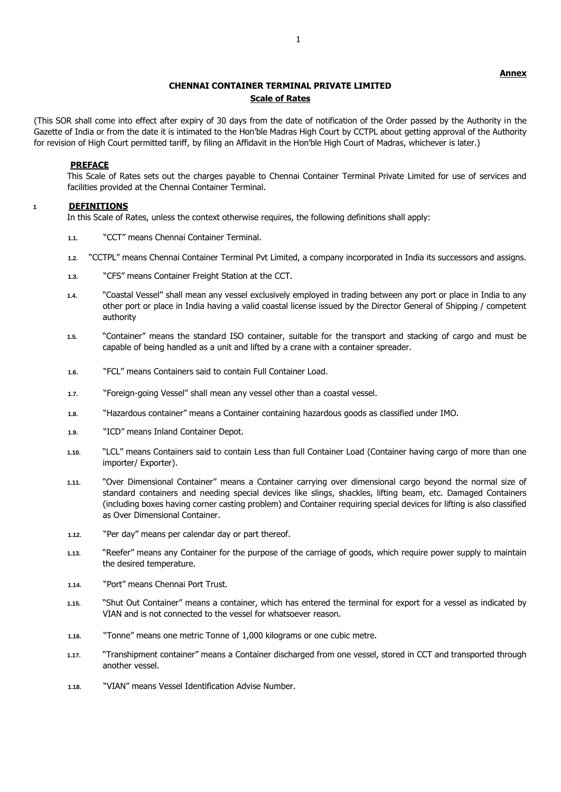### **Annex**

# **CHENNAI CONTAINER TERMINAL PRIVATE LIMITED Scale of Rates**

(This SOR shall come into effect after expiry of 30 days from the date of notification of the Order passed by the Authority in the Gazette of India or from the date it is intimated to the Hon'ble Madras High Court by CCTPL about getting approval of the Authority for revision of High Court permitted tariff, by filing an Affidavit in the Hon'ble High Court of Madras, whichever is later.)

#### **PREFACE**

This Scale of Rates sets out the charges payable to Chennai Container Terminal Private Limited for use of services and facilities provided at the Chennai Container Terminal.

## **1 DEFINITIONS**

In this Scale of Rates, unless the context otherwise requires, the following definitions shall apply:

- **1.1.** "CCT" means Chennai Container Terminal.
- **1.2.** "CCTPL" means Chennai Container Terminal Pvt Limited, a company incorporated in India its successors and assigns.
- **1.3.** "CFS" means Container Freight Station at the CCT.
- **1.4.** "Coastal Vessel" shall mean any vessel exclusively employed in trading between any port or place in India to any other port or place in India having a valid coastal license issued by the Director General of Shipping / competent authority
- **1.5.** "Container" means the standard ISO container, suitable for the transport and stacking of cargo and must be capable of being handled as a unit and lifted by a crane with a container spreader.
- **1.6.** "FCL" means Containers said to contain Full Container Load.
- **1.7.** "Foreign-going Vessel" shall mean any vessel other than a coastal vessel.
- **1.8.** "Hazardous container" means a Container containing hazardous goods as classified under IMO.
- **1.9.** "ICD" means Inland Container Depot.
- **1.10.** "LCL" means Containers said to contain Less than full Container Load (Container having cargo of more than one importer/ Exporter).
- **1.11.** "Over Dimensional Container" means a Container carrying over dimensional cargo beyond the normal size of standard containers and needing special devices like slings, shackles, lifting beam, etc. Damaged Containers (including boxes having corner casting problem) and Container requiring special devices for lifting is also classified as Over Dimensional Container.
- **1.12.** "Per day" means per calendar day or part thereof.
- **1.13.** "Reefer" means any Container for the purpose of the carriage of goods, which require power supply to maintain the desired temperature.
- **1.14.** "Port" means Chennai Port Trust.
- **1.15.** "Shut Out Container" means a container, which has entered the terminal for export for a vessel as indicated by VIAN and is not connected to the vessel for whatsoever reason.
- **1.16.** "Tonne" means one metric Tonne of 1,000 kilograms or one cubic metre.
- **1.17.** "Transhipment container" means a Container discharged from one vessel, stored in CCT and transported through another vessel.
- **1.18.** "VIAN" means Vessel Identification Advise Number.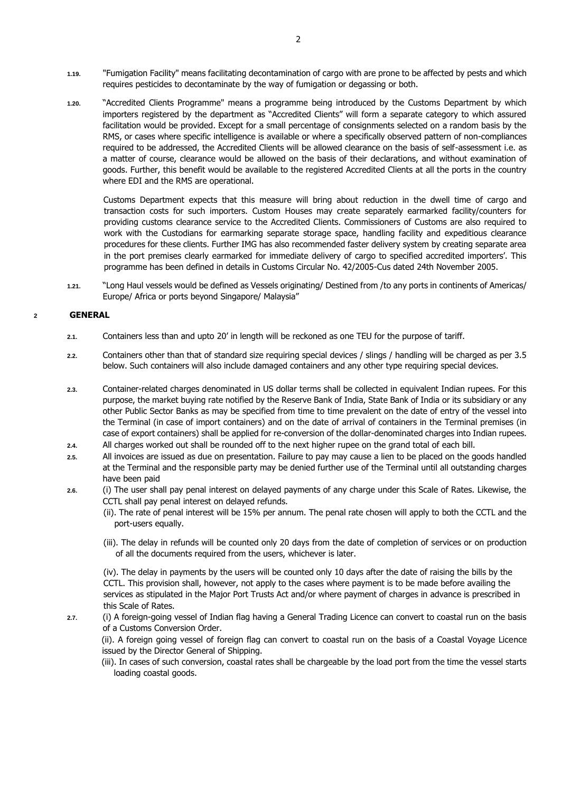- **1.19.** "Fumigation Facility" means facilitating decontamination of cargo with are prone to be affected by pests and which requires pesticides to decontaminate by the way of fumigation or degassing or both.
- **1.20.** "Accredited Clients Programme" means a programme being introduced by the Customs Department by which importers registered by the department as "Accredited Clients" will form a separate category to which assured facilitation would be provided. Except for a small percentage of consignments selected on a random basis by the RMS, or cases where specific intelligence is available or where a specifically observed pattern of non-compliances required to be addressed, the Accredited Clients will be allowed clearance on the basis of self-assessment i.e. as a matter of course, clearance would be allowed on the basis of their declarations, and without examination of goods. Further, this benefit would be available to the registered Accredited Clients at all the ports in the country where EDI and the RMS are operational.

Customs Department expects that this measure will bring about reduction in the dwell time of cargo and transaction costs for such importers. Custom Houses may create separately earmarked facility/counters for providing customs clearance service to the Accredited Clients. Commissioners of Customs are also required to work with the Custodians for earmarking separate storage space, handling facility and expeditious clearance procedures for these clients. Further IMG has also recommended faster delivery system by creating separate area in the port premises clearly earmarked for immediate delivery of cargo to specified accredited importers'. This programme has been defined in details in Customs Circular No. 42/2005-Cus dated 24th November 2005.

**1.21.** "Long Haul vessels would be defined as Vessels originating/ Destined from /to any ports in continents of Americas/ Europe/ Africa or ports beyond Singapore/ Malaysia"

### **2 GENERAL**

- **2.1.** Containers less than and upto 20' in length will be reckoned as one TEU for the purpose of tariff.
- **2.2.** Containers other than that of standard size requiring special devices / slings / handling will be charged as per 3.5 below. Such containers will also include damaged containers and any other type requiring special devices.
- **2.3.** Container-related charges denominated in US dollar terms shall be collected in equivalent Indian rupees. For this purpose, the market buying rate notified by the Reserve Bank of India, State Bank of India or its subsidiary or any other Public Sector Banks as may be specified from time to time prevalent on the date of entry of the vessel into the Terminal (in case of import containers) and on the date of arrival of containers in the Terminal premises (in case of export containers) shall be applied for re-conversion of the dollar-denominated charges into Indian rupees.
- **2.4.** All charges worked out shall be rounded off to the next higher rupee on the grand total of each bill.
- **2.5.** All invoices are issued as due on presentation. Failure to pay may cause a lien to be placed on the goods handled at the Terminal and the responsible party may be denied further use of the Terminal until all outstanding charges have been paid
- **2.6.** (i) The user shall pay penal interest on delayed payments of any charge under this Scale of Rates. Likewise, the CCTL shall pay penal interest on delayed refunds.
	- (ii). The rate of penal interest will be 15% per annum. The penal rate chosen will apply to both the CCTL and the port-users equally.
	- (iii). The delay in refunds will be counted only 20 days from the date of completion of services or on production of all the documents required from the users, whichever is later.

(iv). The delay in payments by the users will be counted only 10 days after the date of raising the bills by the CCTL. This provision shall, however, not apply to the cases where payment is to be made before availing the services as stipulated in the Major Port Trusts Act and/or where payment of charges in advance is prescribed in this Scale of Rates.

**2.7.** (i) A foreign-going vessel of Indian flag having a General Trading Licence can convert to coastal run on the basis of a Customs Conversion Order.

(ii). A foreign going vessel of foreign flag can convert to coastal run on the basis of a Coastal Voyage Licence issued by the Director General of Shipping.

(iii). In cases of such conversion, coastal rates shall be chargeable by the load port from the time the vessel starts loading coastal goods.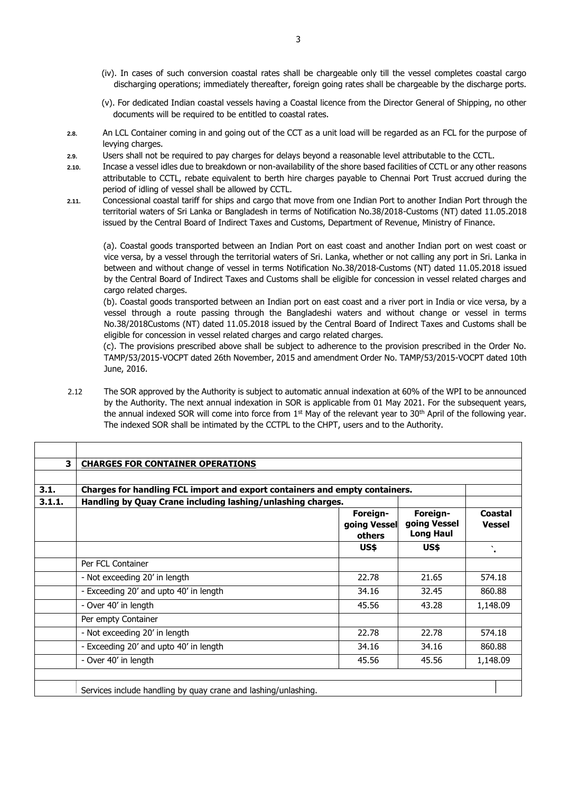- (iv). In cases of such conversion coastal rates shall be chargeable only till the vessel completes coastal cargo discharging operations; immediately thereafter, foreign going rates shall be chargeable by the discharge ports.
- (v). For dedicated Indian coastal vessels having a Coastal licence from the Director General of Shipping, no other documents will be required to be entitled to coastal rates.
- **2.8.** An LCL Container coming in and going out of the CCT as a unit load will be regarded as an FCL for the purpose of levving charges.
- **2.9.** Users shall not be required to pay charges for delays beyond a reasonable level attributable to the CCTL.
- **2.10.** Incase a vessel idles due to breakdown or non-availability of the shore based facilities of CCTL or any other reasons attributable to CCTL, rebate equivalent to berth hire charges payable to Chennai Port Trust accrued during the period of idling of vessel shall be allowed by CCTL.
- **2.11.** Concessional coastal tariff for ships and cargo that move from one Indian Port to another Indian Port through the territorial waters of Sri Lanka or Bangladesh in terms of Notification No.38/2018-Customs (NT) dated 11.05.2018 issued by the Central Board of Indirect Taxes and Customs, Department of Revenue, Ministry of Finance.

(a). Coastal goods transported between an Indian Port on east coast and another Indian port on west coast or vice versa, by a vessel through the territorial waters of Sri. Lanka, whether or not calling any port in Sri. Lanka in between and without change of vessel in terms Notification No.38/2018-Customs (NT) dated 11.05.2018 issued by the Central Board of Indirect Taxes and Customs shall be eligible for concession in vessel related charges and cargo related charges.

(b). Coastal goods transported between an Indian port on east coast and a river port in India or vice versa, by a vessel through a route passing through the Bangladeshi waters and without change or vessel in terms No.38/2018Customs (NT) dated 11.05.2018 issued by the Central Board of Indirect Taxes and Customs shall be eligible for concession in vessel related charges and cargo related charges.

(c). The provisions prescribed above shall be subject to adherence to the provision prescribed in the Order No. TAMP/53/2015-VOCPT dated 26th November, 2015 and amendment Order No. TAMP/53/2015-VOCPT dated 10th June, 2016.

2.12 The SOR approved by the Authority is subject to automatic annual indexation at 60% of the WPI to be announced by the Authority. The next annual indexation in SOR is applicable from 01 May 2021. For the subsequent years, the annual indexed SOR will come into force from  $1<sup>st</sup>$  May of the relevant year to 30<sup>th</sup> April of the following year. The indexed SOR shall be intimated by the CCTPL to the CHPT, users and to the Authority.

| 3.1.   | Charges for handling FCL import and export containers and empty containers. |                                    |                                              |                          |
|--------|-----------------------------------------------------------------------------|------------------------------------|----------------------------------------------|--------------------------|
| 3.1.1. | Handling by Quay Crane including lashing/unlashing charges.                 |                                    |                                              |                          |
|        |                                                                             | Foreign-<br>going Vessel<br>others | Foreign-<br>going Vessel<br><b>Long Haul</b> | Coastal<br><b>Vessel</b> |
|        |                                                                             | US\$                               | US\$                                         | $\overline{\phantom{a}}$ |
|        | Per FCL Container                                                           |                                    |                                              |                          |
|        | - Not exceeding 20' in length                                               | 22.78                              | 21.65                                        | 574.18                   |
|        | - Exceeding 20' and upto 40' in length                                      | 34.16                              | 32.45                                        | 860.88                   |
|        | - Over 40' in length                                                        | 45.56                              | 43.28                                        | 1,148.09                 |
|        | Per empty Container                                                         |                                    |                                              |                          |
|        | - Not exceeding 20' in length                                               | 22.78                              | 22.78                                        | 574.18                   |
|        | - Exceeding 20' and upto 40' in length                                      | 34.16                              | 34.16                                        | 860.88                   |
|        | - Over 40' in length                                                        | 45.56                              | 45.56                                        | 1,148.09                 |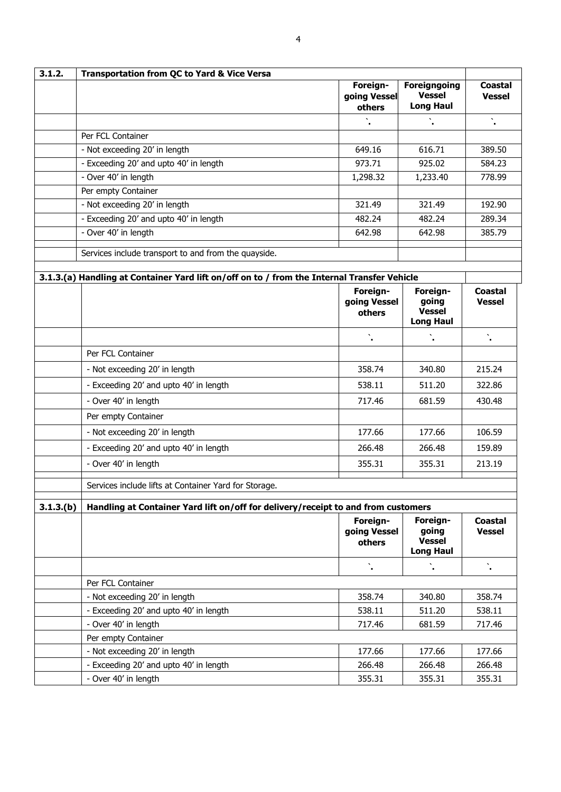| 3.1.2.   | <b>Transportation from QC to Yard &amp; Vice Versa</b>                                      |                                    |                                                          |                                 |  |
|----------|---------------------------------------------------------------------------------------------|------------------------------------|----------------------------------------------------------|---------------------------------|--|
|          |                                                                                             | Foreign-<br>going Vessel<br>others | <b>Foreigngoing</b><br><b>Vessel</b><br><b>Long Haul</b> | <b>Coastal</b><br><b>Vessel</b> |  |
|          |                                                                                             |                                    |                                                          | $\ddot{\phantom{a}}$            |  |
|          | Per FCL Container                                                                           |                                    |                                                          |                                 |  |
|          | - Not exceeding 20' in length                                                               | 649.16                             | 616.71                                                   | 389.50                          |  |
|          | - Exceeding 20' and upto 40' in length                                                      | 973.71                             | 925.02                                                   | 584.23                          |  |
|          | - Over 40' in length                                                                        | 1,298.32                           | 1,233.40                                                 | 778.99                          |  |
|          | Per empty Container                                                                         |                                    |                                                          |                                 |  |
|          | - Not exceeding 20' in length                                                               | 321.49                             | 321.49                                                   | 192.90                          |  |
|          | - Exceeding 20' and upto 40' in length                                                      | 482.24                             | 482.24                                                   | 289.34                          |  |
|          | $\overline{-}$ Over 40' in length                                                           | 642.98                             | 642.98                                                   | 385.79                          |  |
|          | Services include transport to and from the quayside.                                        |                                    |                                                          |                                 |  |
|          | 3.1.3.(a) Handling at Container Yard lift on/off on to / from the Internal Transfer Vehicle |                                    |                                                          |                                 |  |
|          |                                                                                             | Foreign-<br>going Vessel<br>others | Foreign-<br>going<br><b>Vessel</b><br><b>Long Haul</b>   | Coastal<br><b>Vessel</b>        |  |
|          |                                                                                             |                                    |                                                          |                                 |  |
|          | Per FCL Container                                                                           |                                    |                                                          |                                 |  |
|          | - Not exceeding 20' in length                                                               | 358.74                             | 340.80                                                   | 215.24                          |  |
|          | - Exceeding 20' and upto 40' in length                                                      | 538.11                             | 511.20                                                   | 322.86                          |  |
|          | - Over 40' in length                                                                        | 717.46                             | 681.59                                                   | 430.48                          |  |
|          | Per empty Container                                                                         |                                    |                                                          |                                 |  |
|          | - Not exceeding 20' in length                                                               | 177.66                             | 177.66                                                   | 106.59                          |  |
|          | - Exceeding 20' and upto 40' in length                                                      | 266.48                             | 266.48                                                   | 159.89                          |  |
|          | - Over 40' in length                                                                        | 355.31                             | 355.31                                                   | 213.19                          |  |
|          | Services include lifts at Container Yard for Storage.                                       |                                    |                                                          |                                 |  |
| 3.1.3(b) | Handling at Container Yard lift on/off for delivery/receipt to and from customers           |                                    |                                                          |                                 |  |
|          |                                                                                             | Foreign-<br>going Vessel<br>others | Foreign-<br>going<br><b>Vessel</b><br><b>Long Haul</b>   | <b>Coastal</b><br><b>Vessel</b> |  |
|          |                                                                                             |                                    |                                                          | ١.                              |  |
|          | Per FCL Container                                                                           |                                    |                                                          |                                 |  |
|          | - Not exceeding 20' in length                                                               | 358.74                             | 340.80                                                   | 358.74                          |  |
|          | - Exceeding 20' and upto 40' in length                                                      | 538.11                             | 511.20                                                   | 538.11                          |  |
|          | - Over 40' in length                                                                        | 717.46                             | 681.59                                                   | 717.46                          |  |
|          | Per empty Container                                                                         |                                    |                                                          |                                 |  |
|          | - Not exceeding 20' in length                                                               | 177.66                             | 177.66                                                   | 177.66                          |  |
|          | - Exceeding 20' and upto 40' in length                                                      | 266.48                             | 266.48                                                   | 266.48                          |  |
|          | - Over 40' in length                                                                        | 355.31                             | 355.31                                                   | 355.31                          |  |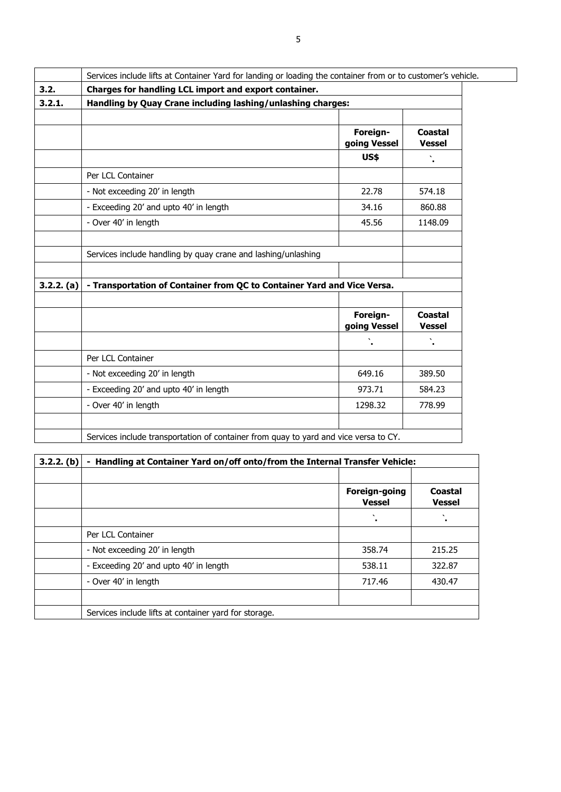|            | Services include lifts at Container Yard for landing or loading the container from or to customer's vehicle. |                          |                          |  |  |
|------------|--------------------------------------------------------------------------------------------------------------|--------------------------|--------------------------|--|--|
| 3.2.       | Charges for handling LCL import and export container.                                                        |                          |                          |  |  |
| 3.2.1.     | Handling by Quay Crane including lashing/unlashing charges:                                                  |                          |                          |  |  |
|            |                                                                                                              |                          |                          |  |  |
|            |                                                                                                              | Foreign-<br>going Vessel | Coastal<br><b>Vessel</b> |  |  |
|            |                                                                                                              | <b>US\$</b>              |                          |  |  |
|            | Per LCL Container                                                                                            |                          |                          |  |  |
|            | - Not exceeding 20' in length                                                                                | 22.78                    | 574.18                   |  |  |
|            | - Exceeding 20' and upto 40' in length                                                                       | 34.16                    | 860.88                   |  |  |
|            | - Over 40' in length                                                                                         | 45.56                    | 1148.09                  |  |  |
|            |                                                                                                              |                          |                          |  |  |
|            | Services include handling by quay crane and lashing/unlashing                                                |                          |                          |  |  |
|            |                                                                                                              |                          |                          |  |  |
| 3.2.2. (a) | - Transportation of Container from QC to Container Yard and Vice Versa.                                      |                          |                          |  |  |
|            |                                                                                                              |                          |                          |  |  |
|            |                                                                                                              | Foreign-<br>going Vessel | Coastal<br><b>Vessel</b> |  |  |
|            |                                                                                                              |                          |                          |  |  |
|            | Per LCL Container                                                                                            |                          |                          |  |  |
|            | - Not exceeding 20' in length                                                                                | 649.16                   | 389.50                   |  |  |
|            | - Exceeding 20' and upto 40' in length                                                                       | 973.71                   | 584.23                   |  |  |
|            | - Over 40' in length                                                                                         | 1298.32                  | 778.99                   |  |  |
|            |                                                                                                              |                          |                          |  |  |
|            | Services include transportation of container from quay to yard and vice versa to CY.                         |                          |                          |  |  |

| $3.2.2.$ (b) | Handling at Container Yard on/off onto/from the Internal Transfer Vehicle: |                                |                          |  |  |
|--------------|----------------------------------------------------------------------------|--------------------------------|--------------------------|--|--|
|              |                                                                            |                                |                          |  |  |
|              |                                                                            | Foreign-going<br><b>Vessel</b> | Coastal<br><b>Vessel</b> |  |  |
|              |                                                                            | $\cdot$                        |                          |  |  |
|              | Per LCL Container                                                          |                                |                          |  |  |
|              | - Not exceeding 20' in length                                              | 358.74                         | 215.25                   |  |  |
|              | - Exceeding 20' and upto 40' in length                                     | 538.11                         | 322.87                   |  |  |
|              | - Over 40' in length                                                       | 717.46                         | 430.47                   |  |  |
|              |                                                                            |                                |                          |  |  |
|              | Services include lifts at container yard for storage.                      |                                |                          |  |  |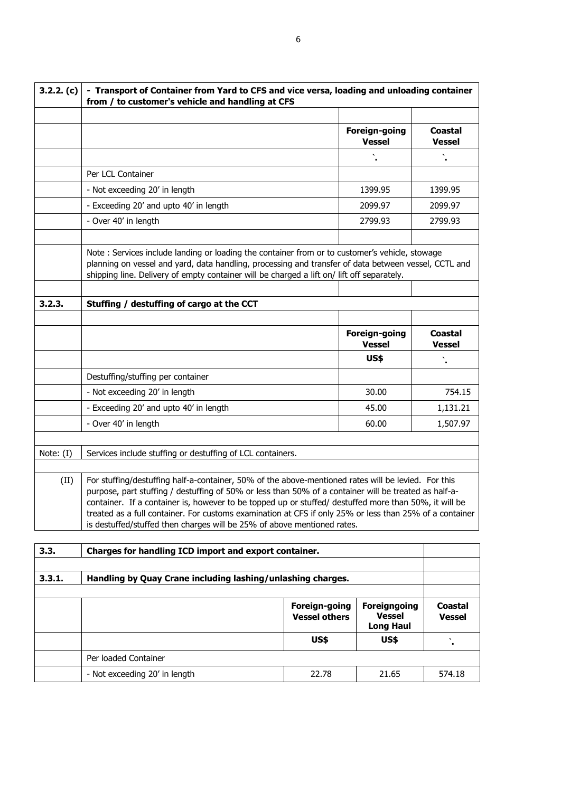| 3.2.2. (c) | - Transport of Container from Yard to CFS and vice versa, loading and unloading container<br>from / to customer's vehicle and handling at CFS                                                                                                                                                                                                                                                                                                                                                               |                                |                                 |  |  |
|------------|-------------------------------------------------------------------------------------------------------------------------------------------------------------------------------------------------------------------------------------------------------------------------------------------------------------------------------------------------------------------------------------------------------------------------------------------------------------------------------------------------------------|--------------------------------|---------------------------------|--|--|
|            |                                                                                                                                                                                                                                                                                                                                                                                                                                                                                                             |                                |                                 |  |  |
|            |                                                                                                                                                                                                                                                                                                                                                                                                                                                                                                             | Foreign-going<br><b>Vessel</b> | <b>Coastal</b><br><b>Vessel</b> |  |  |
|            |                                                                                                                                                                                                                                                                                                                                                                                                                                                                                                             |                                |                                 |  |  |
|            | Per LCL Container                                                                                                                                                                                                                                                                                                                                                                                                                                                                                           |                                |                                 |  |  |
|            | - Not exceeding 20' in length                                                                                                                                                                                                                                                                                                                                                                                                                                                                               | 1399.95                        | 1399.95                         |  |  |
|            | - Exceeding 20' and upto 40' in length                                                                                                                                                                                                                                                                                                                                                                                                                                                                      | 2099.97                        | 2099.97                         |  |  |
|            | - Over 40' in length                                                                                                                                                                                                                                                                                                                                                                                                                                                                                        | 2799.93                        | 2799.93                         |  |  |
|            |                                                                                                                                                                                                                                                                                                                                                                                                                                                                                                             |                                |                                 |  |  |
|            | Note: Services include landing or loading the container from or to customer's vehicle, stowage<br>planning on vessel and yard, data handling, processing and transfer of data between vessel, CCTL and<br>shipping line. Delivery of empty container will be charged a lift on/ lift off separately.                                                                                                                                                                                                        |                                |                                 |  |  |
|            |                                                                                                                                                                                                                                                                                                                                                                                                                                                                                                             |                                |                                 |  |  |
| 3.2.3.     | Stuffing / destuffing of cargo at the CCT                                                                                                                                                                                                                                                                                                                                                                                                                                                                   |                                |                                 |  |  |
|            |                                                                                                                                                                                                                                                                                                                                                                                                                                                                                                             |                                |                                 |  |  |
|            |                                                                                                                                                                                                                                                                                                                                                                                                                                                                                                             | Foreign-going<br><b>Vessel</b> | <b>Coastal</b><br><b>Vessel</b> |  |  |
|            |                                                                                                                                                                                                                                                                                                                                                                                                                                                                                                             | <b>US\$</b>                    |                                 |  |  |
|            | Destuffing/stuffing per container                                                                                                                                                                                                                                                                                                                                                                                                                                                                           |                                |                                 |  |  |
|            | - Not exceeding 20' in length                                                                                                                                                                                                                                                                                                                                                                                                                                                                               | 30.00                          | 754.15                          |  |  |
|            | - Exceeding 20' and upto 40' in length                                                                                                                                                                                                                                                                                                                                                                                                                                                                      | 45.00                          | 1,131.21                        |  |  |
|            | - Over 40' in length                                                                                                                                                                                                                                                                                                                                                                                                                                                                                        | 60.00                          | 1,507.97                        |  |  |
|            |                                                                                                                                                                                                                                                                                                                                                                                                                                                                                                             |                                |                                 |  |  |
| Note: (I)  | Services include stuffing or destuffing of LCL containers.                                                                                                                                                                                                                                                                                                                                                                                                                                                  |                                |                                 |  |  |
|            |                                                                                                                                                                                                                                                                                                                                                                                                                                                                                                             |                                |                                 |  |  |
| (II)       | For stuffing/destuffing half-a-container, 50% of the above-mentioned rates will be levied. For this<br>purpose, part stuffing / destuffing of 50% or less than 50% of a container will be treated as half-a-<br>container. If a container is, however to be topped up or stuffed/ destuffed more than 50%, it will be<br>treated as a full container. For customs examination at CFS if only 25% or less than 25% of a container<br>is destuffed/stuffed then charges will be 25% of above mentioned rates. |                                |                                 |  |  |
|            |                                                                                                                                                                                                                                                                                                                                                                                                                                                                                                             |                                |                                 |  |  |
| 3.3.       | Charges for handling ICD import and export container.                                                                                                                                                                                                                                                                                                                                                                                                                                                       |                                |                                 |  |  |

| 3.3.1.<br>Handling by Quay Crane including lashing/unlashing charges. |                               |                                       |                                                   |                          |
|-----------------------------------------------------------------------|-------------------------------|---------------------------------------|---------------------------------------------------|--------------------------|
|                                                                       |                               |                                       |                                                   |                          |
|                                                                       |                               | Foreign-going<br><b>Vessel others</b> | Foreigngoing<br><b>Vessel</b><br><b>Long Haul</b> | Coastal<br><b>Vessel</b> |
|                                                                       |                               | US\$                                  | US\$                                              |                          |
|                                                                       | Per loaded Container          |                                       |                                                   |                          |
|                                                                       | - Not exceeding 20' in length | 22.78                                 | 21.65                                             | 574.18                   |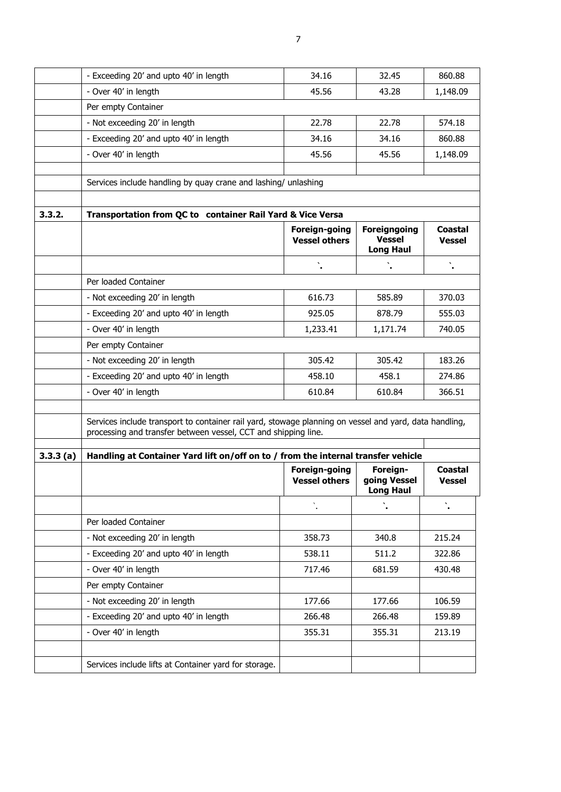|          | - Exceeding 20' and upto 40' in length                                                                                                                                   | 34.16                                 | 32.45                                                    | 860.88                          |
|----------|--------------------------------------------------------------------------------------------------------------------------------------------------------------------------|---------------------------------------|----------------------------------------------------------|---------------------------------|
|          | - Over 40' in length                                                                                                                                                     | 45.56                                 | 43.28                                                    | 1,148.09                        |
|          | Per empty Container                                                                                                                                                      |                                       |                                                          |                                 |
|          | - Not exceeding 20' in length                                                                                                                                            | 22.78                                 | 22.78                                                    | 574.18                          |
|          | - Exceeding 20' and upto 40' in length                                                                                                                                   | 34.16                                 | 34.16                                                    | 860.88                          |
|          | - Over 40' in length                                                                                                                                                     | 45.56                                 | 45.56                                                    | 1,148.09                        |
|          |                                                                                                                                                                          |                                       |                                                          |                                 |
|          | Services include handling by quay crane and lashing/ unlashing                                                                                                           |                                       |                                                          |                                 |
|          |                                                                                                                                                                          |                                       |                                                          |                                 |
| 3.3.2.   | Transportation from QC to container Rail Yard & Vice Versa                                                                                                               |                                       |                                                          |                                 |
|          |                                                                                                                                                                          | Foreign-going<br><b>Vessel others</b> | <b>Foreigngoing</b><br><b>Vessel</b><br><b>Long Haul</b> | <b>Coastal</b><br><b>Vessel</b> |
|          |                                                                                                                                                                          |                                       |                                                          |                                 |
|          | Per loaded Container                                                                                                                                                     |                                       |                                                          |                                 |
|          | - Not exceeding 20' in length                                                                                                                                            | 616.73                                | 585.89                                                   | 370.03                          |
|          | - Exceeding 20' and upto 40' in length                                                                                                                                   | 925.05                                | 878.79                                                   | 555.03                          |
|          | - Over 40' in length                                                                                                                                                     | 1,233.41                              | 1,171.74                                                 | 740.05                          |
|          | Per empty Container                                                                                                                                                      |                                       |                                                          |                                 |
|          | - Not exceeding 20' in length                                                                                                                                            | 305.42                                | 305.42                                                   | 183.26                          |
|          | - Exceeding 20' and upto 40' in length                                                                                                                                   | 458.10                                | 458.1                                                    | 274.86                          |
|          | - Over 40' in length                                                                                                                                                     | 610.84                                | 610.84                                                   | 366.51                          |
|          |                                                                                                                                                                          |                                       |                                                          |                                 |
|          | Services include transport to container rail yard, stowage planning on vessel and yard, data handling,<br>processing and transfer between vessel, CCT and shipping line. |                                       |                                                          |                                 |
| 3.3.3(a) | Handling at Container Yard lift on/off on to / from the internal transfer vehicle                                                                                        |                                       |                                                          |                                 |
|          |                                                                                                                                                                          | Foreign-going<br><b>Vessel others</b> | Foreign-<br>going Vessel<br><b>Long Haul</b>             | <b>Coastal</b><br><b>Vessel</b> |
|          |                                                                                                                                                                          |                                       |                                                          | $\mathbf{v}_i$                  |
|          | Per loaded Container                                                                                                                                                     |                                       |                                                          |                                 |
|          | - Not exceeding 20' in length                                                                                                                                            | 358.73                                | 340.8                                                    | 215.24                          |
|          | - Exceeding 20' and upto 40' in length                                                                                                                                   | 538.11                                | 511.2                                                    | 322.86                          |
|          | - Over 40' in length                                                                                                                                                     | 717.46                                | 681.59                                                   | 430.48                          |
|          | Per empty Container                                                                                                                                                      |                                       |                                                          |                                 |
|          | - Not exceeding 20' in length                                                                                                                                            | 177.66                                | 177.66                                                   | 106.59                          |
|          | - Exceeding 20' and upto 40' in length                                                                                                                                   | 266.48                                | 266.48                                                   | 159.89                          |
|          | - Over 40' in length                                                                                                                                                     | 355.31                                | 355.31                                                   | 213.19                          |
|          |                                                                                                                                                                          |                                       |                                                          |                                 |
|          | Services include lifts at Container yard for storage.                                                                                                                    |                                       |                                                          |                                 |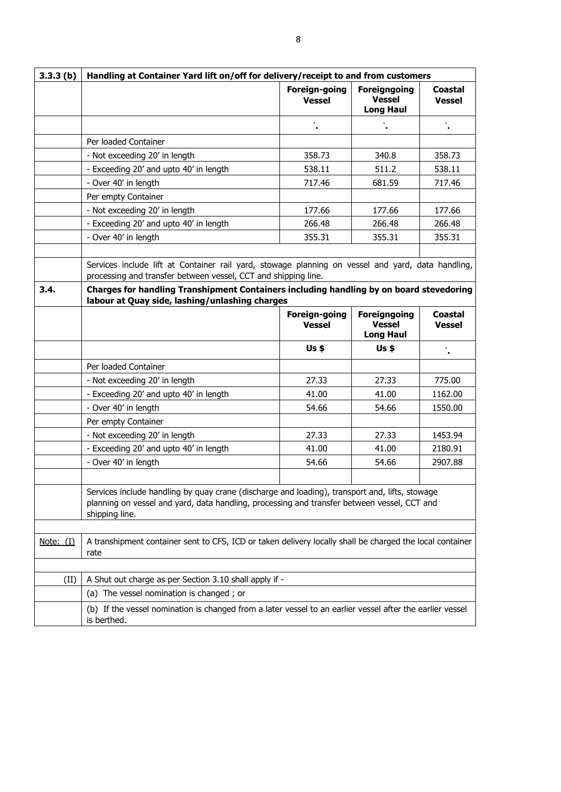| 3.3.3(b)         | Handling at Container Yard lift on/off for delivery/receipt to and from customers                                                                                                                               |                                |                                                          |                                 |  |
|------------------|-----------------------------------------------------------------------------------------------------------------------------------------------------------------------------------------------------------------|--------------------------------|----------------------------------------------------------|---------------------------------|--|
|                  |                                                                                                                                                                                                                 | Foreign-going<br><b>Vessel</b> | <b>Foreigngoing</b><br><b>Vessel</b><br><b>Long Haul</b> | <b>Coastal</b><br><b>Vessel</b> |  |
|                  |                                                                                                                                                                                                                 |                                |                                                          | ١.                              |  |
|                  | Per loaded Container                                                                                                                                                                                            |                                |                                                          |                                 |  |
|                  | - Not exceeding 20' in length                                                                                                                                                                                   | 358.73                         | 340.8                                                    | 358.73                          |  |
|                  | - Exceeding 20' and upto 40' in length                                                                                                                                                                          | 538.11                         | 511.2                                                    | 538.11                          |  |
|                  | - Over 40' in length                                                                                                                                                                                            | 717.46                         | 681.59                                                   | 717.46                          |  |
|                  | Per empty Container                                                                                                                                                                                             |                                |                                                          |                                 |  |
|                  | - Not exceeding 20' in length                                                                                                                                                                                   | 177.66                         | 177.66                                                   | 177.66                          |  |
|                  | - Exceeding 20' and upto 40' in length                                                                                                                                                                          | 266.48                         | 266.48                                                   | 266.48                          |  |
|                  | - Over 40' in length                                                                                                                                                                                            | 355.31                         | 355.31                                                   | 355.31                          |  |
|                  |                                                                                                                                                                                                                 |                                |                                                          |                                 |  |
|                  | Services include lift at Container rail yard, stowage planning on vessel and yard, data handling,<br>processing and transfer between vessel, CCT and shipping line.                                             |                                |                                                          |                                 |  |
| 3.4.             | Charges for handling Transhipment Containers including handling by on board stevedoring<br>labour at Quay side, lashing/unlashing charges                                                                       |                                |                                                          |                                 |  |
|                  |                                                                                                                                                                                                                 | Foreign-going<br><b>Vessel</b> | <b>Foreigngoing</b><br><b>Vessel</b><br><b>Long Haul</b> | Coastal<br><b>Vessel</b>        |  |
|                  |                                                                                                                                                                                                                 | $Us$ \$                        | $Us$ \$                                                  |                                 |  |
|                  | Per loaded Container                                                                                                                                                                                            |                                |                                                          |                                 |  |
|                  | - Not exceeding 20' in length                                                                                                                                                                                   | 27.33                          | 27.33                                                    | 775.00                          |  |
|                  | - Exceeding 20' and upto 40' in length                                                                                                                                                                          | 41.00                          | 41.00                                                    | 1162.00                         |  |
|                  | - Over 40' in length                                                                                                                                                                                            | 54.66                          | 54.66                                                    | 1550.00                         |  |
|                  | Per empty Container                                                                                                                                                                                             |                                |                                                          |                                 |  |
|                  | - Not exceeding 20' in length                                                                                                                                                                                   | 27.33                          | 27.33                                                    | 1453.94                         |  |
|                  | - Exceeding 20' and upto 40' in length                                                                                                                                                                          | 41.00                          | 41.00                                                    | 2180.91                         |  |
|                  | - Over 40' in length                                                                                                                                                                                            | 54.66                          | 54.66                                                    | 2907.88                         |  |
|                  |                                                                                                                                                                                                                 |                                |                                                          |                                 |  |
|                  | Services include handling by quay crane (discharge and loading), transport and, lifts, stowage<br>planning on vessel and yard, data handling, processing and transfer between vessel, CCT and<br>shipping line. |                                |                                                          |                                 |  |
|                  |                                                                                                                                                                                                                 |                                |                                                          |                                 |  |
| <u>Note: (I)</u> | A transhipment container sent to CFS, ICD or taken delivery locally shall be charged the local container<br>rate                                                                                                |                                |                                                          |                                 |  |
|                  |                                                                                                                                                                                                                 |                                |                                                          |                                 |  |
| (II)             | A Shut out charge as per Section 3.10 shall apply if -                                                                                                                                                          |                                |                                                          |                                 |  |
|                  | (a) The vessel nomination is changed; or                                                                                                                                                                        |                                |                                                          |                                 |  |
|                  | (b) If the vessel nomination is changed from a later vessel to an earlier vessel after the earlier vessel<br>is berthed.                                                                                        |                                |                                                          |                                 |  |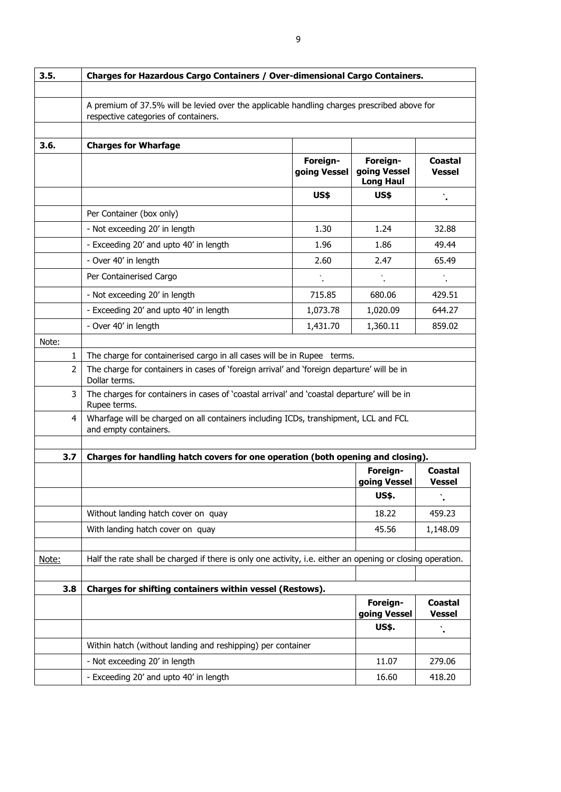| 3.5.           | Charges for Hazardous Cargo Containers / Over-dimensional Cargo Containers.                                                         |                          |                                              |                                 |  |  |  |
|----------------|-------------------------------------------------------------------------------------------------------------------------------------|--------------------------|----------------------------------------------|---------------------------------|--|--|--|
|                |                                                                                                                                     |                          |                                              |                                 |  |  |  |
|                | A premium of 37.5% will be levied over the applicable handling charges prescribed above for<br>respective categories of containers. |                          |                                              |                                 |  |  |  |
|                |                                                                                                                                     |                          |                                              |                                 |  |  |  |
| 3.6.           | <b>Charges for Wharfage</b>                                                                                                         |                          |                                              |                                 |  |  |  |
|                |                                                                                                                                     | Foreign-<br>going Vessel | Foreign-<br>going Vessel<br><b>Long Haul</b> | Coastal<br><b>Vessel</b>        |  |  |  |
|                |                                                                                                                                     | <b>US\$</b>              | <b>US\$</b>                                  | Ň,                              |  |  |  |
|                | Per Container (box only)                                                                                                            |                          |                                              |                                 |  |  |  |
|                | - Not exceeding 20' in length                                                                                                       | 1.30                     | 1.24                                         | 32.88                           |  |  |  |
|                | - Exceeding 20' and upto 40' in length                                                                                              | 1.96                     | 1.86                                         | 49.44                           |  |  |  |
|                | - Over 40' in length                                                                                                                | 2.60                     | 2.47                                         | 65.49                           |  |  |  |
|                | Per Containerised Cargo                                                                                                             | $\ddot{\phantom{a}}$     |                                              |                                 |  |  |  |
|                | - Not exceeding 20' in length                                                                                                       | 715.85                   | 680.06                                       | 429.51                          |  |  |  |
|                | - Exceeding 20' and upto 40' in length                                                                                              | 1,073.78                 | 1,020.09                                     | 644.27                          |  |  |  |
|                | - Over 40' in length                                                                                                                | 1,431.70                 | 1,360.11                                     | 859.02                          |  |  |  |
| Note:          |                                                                                                                                     |                          |                                              |                                 |  |  |  |
| 1              | The charge for containerised cargo in all cases will be in Rupee terms.                                                             |                          |                                              |                                 |  |  |  |
| $\overline{2}$ | The charge for containers in cases of 'foreign arrival' and 'foreign departure' will be in<br>Dollar terms.                         |                          |                                              |                                 |  |  |  |
| 3              | The charges for containers in cases of 'coastal arrival' and 'coastal departure' will be in<br>Rupee terms.                         |                          |                                              |                                 |  |  |  |
| 4              | Wharfage will be charged on all containers including ICDs, transhipment, LCL and FCL<br>and empty containers.                       |                          |                                              |                                 |  |  |  |
|                |                                                                                                                                     |                          |                                              |                                 |  |  |  |
| 3.7            | Charges for handling hatch covers for one operation (both opening and closing).                                                     |                          |                                              | Coastal                         |  |  |  |
|                |                                                                                                                                     |                          | Foreign-<br>going Vessel                     | <b>Vessel</b>                   |  |  |  |
|                |                                                                                                                                     |                          | US\$.                                        |                                 |  |  |  |
|                | Without landing hatch cover on quay                                                                                                 |                          | 18.22                                        | 459.23                          |  |  |  |
|                | With landing hatch cover on quay                                                                                                    |                          | 45.56                                        | 1,148.09                        |  |  |  |
|                |                                                                                                                                     |                          |                                              |                                 |  |  |  |
| Note:          | Half the rate shall be charged if there is only one activity, i.e. either an opening or closing operation.                          |                          |                                              |                                 |  |  |  |
|                |                                                                                                                                     |                          |                                              |                                 |  |  |  |
| 3.8            | Charges for shifting containers within vessel (Restows).                                                                            |                          |                                              |                                 |  |  |  |
|                |                                                                                                                                     |                          | Foreign-<br>going Vessel                     | <b>Coastal</b><br><b>Vessel</b> |  |  |  |
|                |                                                                                                                                     |                          | <b>US\$.</b>                                 |                                 |  |  |  |
|                | Within hatch (without landing and reshipping) per container                                                                         |                          |                                              |                                 |  |  |  |
|                | - Not exceeding 20' in length                                                                                                       |                          | 11.07                                        | 279.06                          |  |  |  |
|                | - Exceeding 20' and upto 40' in length<br>16.60<br>418.20                                                                           |                          |                                              |                                 |  |  |  |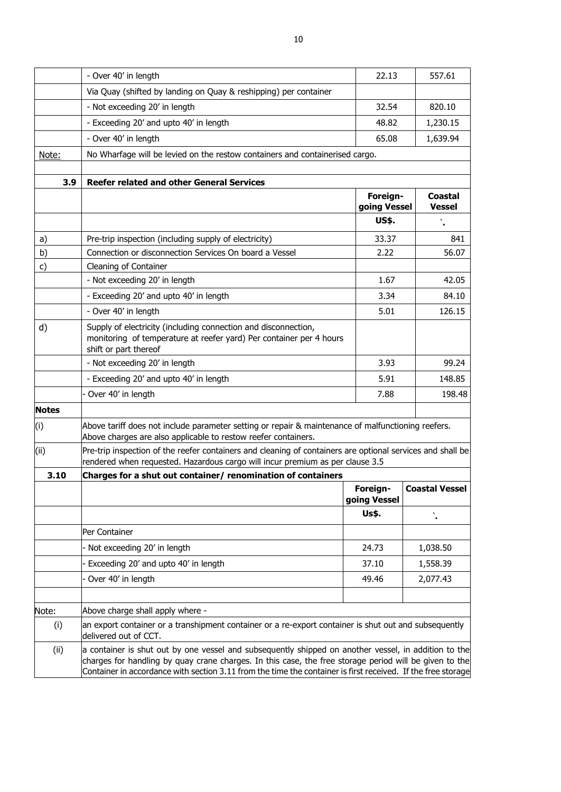|              | - Over 40' in length                                                                                                                                                                                                                                                                                                           | 22.13                    | 557.61                          |  |  |
|--------------|--------------------------------------------------------------------------------------------------------------------------------------------------------------------------------------------------------------------------------------------------------------------------------------------------------------------------------|--------------------------|---------------------------------|--|--|
|              | Via Quay (shifted by landing on Quay & reshipping) per container                                                                                                                                                                                                                                                               |                          |                                 |  |  |
|              | - Not exceeding 20' in length                                                                                                                                                                                                                                                                                                  | 32.54                    | 820.10                          |  |  |
|              | - Exceeding 20' and upto 40' in length                                                                                                                                                                                                                                                                                         | 48.82                    | 1,230.15                        |  |  |
|              | - Over 40' in length                                                                                                                                                                                                                                                                                                           | 65.08                    | 1,639.94                        |  |  |
| Note:        | No Wharfage will be levied on the restow containers and containerised cargo.                                                                                                                                                                                                                                                   |                          |                                 |  |  |
|              |                                                                                                                                                                                                                                                                                                                                |                          |                                 |  |  |
| 3.9          | <b>Reefer related and other General Services</b>                                                                                                                                                                                                                                                                               |                          |                                 |  |  |
|              |                                                                                                                                                                                                                                                                                                                                | Foreign-<br>going Vessel | <b>Coastal</b><br><b>Vessel</b> |  |  |
|              |                                                                                                                                                                                                                                                                                                                                | <b>US\$.</b>             |                                 |  |  |
| a)           | Pre-trip inspection (including supply of electricity)                                                                                                                                                                                                                                                                          | 33.37                    | 841                             |  |  |
| b)           | Connection or disconnection Services On board a Vessel                                                                                                                                                                                                                                                                         | 2.22                     | 56.07                           |  |  |
| c)           | Cleaning of Container                                                                                                                                                                                                                                                                                                          |                          |                                 |  |  |
|              | - Not exceeding 20' in length                                                                                                                                                                                                                                                                                                  | 1.67                     | 42.05                           |  |  |
|              | - Exceeding 20' and upto 40' in length                                                                                                                                                                                                                                                                                         | 3.34                     | 84.10                           |  |  |
|              | - Over 40' in length                                                                                                                                                                                                                                                                                                           | 5.01                     | 126.15                          |  |  |
| d)           | Supply of electricity (including connection and disconnection,<br>monitoring of temperature at reefer yard) Per container per 4 hours<br>shift or part thereof                                                                                                                                                                 |                          |                                 |  |  |
|              | - Not exceeding 20' in length                                                                                                                                                                                                                                                                                                  | 3.93                     | 99.24                           |  |  |
|              | - Exceeding 20' and upto 40' in length                                                                                                                                                                                                                                                                                         |                          | 148.85                          |  |  |
|              | Over 40' in length                                                                                                                                                                                                                                                                                                             | 7.88                     | 198.48                          |  |  |
| <b>Notes</b> |                                                                                                                                                                                                                                                                                                                                |                          |                                 |  |  |
| (i)          | Above tariff does not include parameter setting or repair & maintenance of malfunctioning reefers.<br>Above charges are also applicable to restow reefer containers.                                                                                                                                                           |                          |                                 |  |  |
| (ii)         | Pre-trip inspection of the reefer containers and cleaning of containers are optional services and shall be<br>rendered when requested. Hazardous cargo will incur premium as per clause 3.5                                                                                                                                    |                          |                                 |  |  |
| 3.10         | Charges for a shut out container/ renomination of containers                                                                                                                                                                                                                                                                   |                          |                                 |  |  |
|              |                                                                                                                                                                                                                                                                                                                                | Foreign-<br>going Vessel | <b>Coastal Vessel</b>           |  |  |
|              |                                                                                                                                                                                                                                                                                                                                | Us\$.                    |                                 |  |  |
|              | Per Container                                                                                                                                                                                                                                                                                                                  |                          |                                 |  |  |
|              | - Not exceeding 20' in length                                                                                                                                                                                                                                                                                                  | 24.73                    | 1,038.50                        |  |  |
|              | - Exceeding 20' and upto 40' in length                                                                                                                                                                                                                                                                                         | 37.10                    | 1,558.39                        |  |  |
|              | - Over 40' in length                                                                                                                                                                                                                                                                                                           | 49.46                    | 2,077.43                        |  |  |
|              |                                                                                                                                                                                                                                                                                                                                |                          |                                 |  |  |
| Note:        | Above charge shall apply where -                                                                                                                                                                                                                                                                                               |                          |                                 |  |  |
| (i)          | an export container or a transhipment container or a re-export container is shut out and subsequently<br>delivered out of CCT.                                                                                                                                                                                                 |                          |                                 |  |  |
| (ii)         | a container is shut out by one vessel and subsequently shipped on another vessel, in addition to the<br>charges for handling by quay crane charges. In this case, the free storage period will be given to the<br>Container in accordance with section 3.11 from the time the container is first received. If the free storage |                          |                                 |  |  |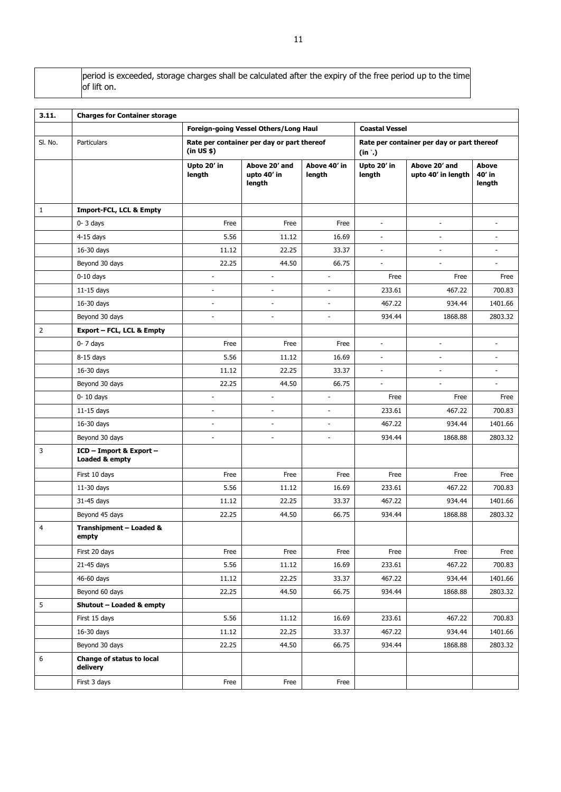period is exceeded, storage charges shall be calculated after the expiry of the free period up to the time of lift on.

| 3.11.          | <b>Charges for Container storage</b>      |                              |                                            |                          |                          |                                            |                           |  |
|----------------|-------------------------------------------|------------------------------|--------------------------------------------|--------------------------|--------------------------|--------------------------------------------|---------------------------|--|
|                |                                           |                              | Foreign-going Vessel Others/Long Haul      |                          | <b>Coastal Vessel</b>    |                                            |                           |  |
| SI. No.        | Particulars                               | (in US \$)                   | Rate per container per day or part thereof |                          | $(in^{\cdot})$           | Rate per container per day or part thereof |                           |  |
|                |                                           | Upto 20' in<br>length        | Above 20' and<br>upto 40' in<br>length     | Above 40' in<br>length   | Upto 20' in<br>length    | Above 20' and<br>upto 40' in length        | Above<br>40' in<br>length |  |
| $\mathbf{1}$   | <b>Import-FCL, LCL &amp; Empty</b>        |                              |                                            |                          |                          |                                            |                           |  |
|                | $0 - 3$ days                              | Free                         | Free                                       | Free                     | $\overline{a}$           | $\overline{a}$                             |                           |  |
|                | $4-15$ days                               | 5.56                         | 11.12                                      | 16.69                    | $\overline{\phantom{a}}$ | $\overline{\phantom{a}}$                   | $\overline{\phantom{a}}$  |  |
|                | 16-30 days                                | 11.12                        | 22.25                                      | 33.37                    | $\overline{a}$           | $\blacksquare$                             |                           |  |
|                | Beyond 30 days                            | 22.25                        | 44.50                                      | 66.75                    | $\overline{a}$           | $\overline{a}$                             |                           |  |
|                | $0-10$ days                               | ÷,                           | $\overline{a}$                             | ÷,                       | Free                     | Free                                       | Free                      |  |
|                | $11-15$ days                              | ÷,                           | $\overline{\phantom{a}}$                   |                          | 233.61                   | 467.22                                     | 700.83                    |  |
|                | 16-30 days                                | $\qquad \qquad \blacksquare$ | $\overline{\phantom{a}}$                   | $\overline{\phantom{a}}$ | 467.22                   | 934.44                                     | 1401.66                   |  |
|                | Beyond 30 days                            | $\overline{a}$               | $\overline{\phantom{a}}$                   | $\blacksquare$           | 934.44                   | 1868.88                                    | 2803.32                   |  |
| $\overline{2}$ | <b>Export - FCL, LCL &amp; Empty</b>      |                              |                                            |                          |                          |                                            |                           |  |
|                | $0 - 7$ days                              | Free                         | Free                                       | Free                     | $\blacksquare$           | $\blacksquare$                             | $\overline{\phantom{a}}$  |  |
|                | $8-15$ days                               | 5.56                         | 11.12                                      | 16.69                    | ÷,                       | $\blacksquare$                             | ÷                         |  |
|                | $16-30$ days                              | 11.12                        | 22.25                                      | 33.37                    | $\frac{1}{2}$            | $\overline{\phantom{a}}$                   | $\blacksquare$            |  |
|                | Beyond 30 days                            | 22.25                        | 44.50                                      | 66.75                    | ÷,                       | $\overline{\phantom{a}}$                   | ÷,                        |  |
|                | $0-10$ days                               | ÷,                           | $\overline{a}$                             | $\overline{a}$           | Free                     | Free                                       | Free                      |  |
|                | $11-15$ days                              | $\overline{\phantom{a}}$     | ٠                                          | $\blacksquare$           | 233.61                   | 467.22                                     | 700.83                    |  |
|                | 16-30 days                                | $\overline{a}$               | $\overline{\phantom{a}}$                   | $\overline{\phantom{a}}$ | 467.22                   | 934.44                                     | 1401.66                   |  |
|                | Beyond 30 days                            | ÷                            | $\overline{\phantom{a}}$                   | ÷.                       | 934.44                   | 1868.88                                    | 2803.32                   |  |
| 3              | ICD - Import & Export -<br>Loaded & empty |                              |                                            |                          |                          |                                            |                           |  |
|                | First 10 days                             | Free                         | Free                                       | Free                     | Free                     | Free                                       | Free                      |  |
|                | $11-30$ days                              | 5.56                         | 11.12                                      | 16.69                    | 233.61                   | 467.22                                     | 700.83                    |  |
|                | 31-45 days                                | 11.12                        | 22.25                                      | 33.37                    | 467.22                   | 934.44                                     | 1401.66                   |  |
|                | Beyond 45 days                            | 22.25                        | 44.50                                      | 66.75                    | 934.44                   | 1868.88                                    | 2803.32                   |  |
| $\overline{4}$ | Transhipment - Loaded &<br>empty          |                              |                                            |                          |                          |                                            |                           |  |
|                | First 20 days                             | Free                         | Free                                       | Free                     | Free                     | Free                                       | Free                      |  |
|                | 21-45 days                                | 5.56                         | 11.12                                      | 16.69                    | 233.61                   | 467.22                                     | 700.83                    |  |
|                | 46-60 days                                | 11.12                        | 22.25                                      | 33.37                    | 467.22                   | 934.44                                     | 1401.66                   |  |
|                | Beyond 60 days                            | 22.25                        | 44.50                                      | 66.75                    | 934.44                   | 1868.88                                    | 2803.32                   |  |
| 5              | Shutout - Loaded & empty                  |                              |                                            |                          |                          |                                            |                           |  |
|                | First 15 days                             | 5.56                         | 11.12                                      | 16.69                    | 233.61                   | 467.22                                     | 700.83                    |  |
|                | 16-30 days                                | 11.12                        | 22.25                                      | 33.37                    | 467.22                   | 934.44                                     | 1401.66                   |  |
|                | Beyond 30 days                            | 22.25                        | 44.50                                      | 66.75                    | 934.44                   | 1868.88                                    | 2803.32                   |  |
| 6              | Change of status to local<br>delivery     |                              |                                            |                          |                          |                                            |                           |  |
|                | First 3 days                              | Free                         | Free                                       | Free                     |                          |                                            |                           |  |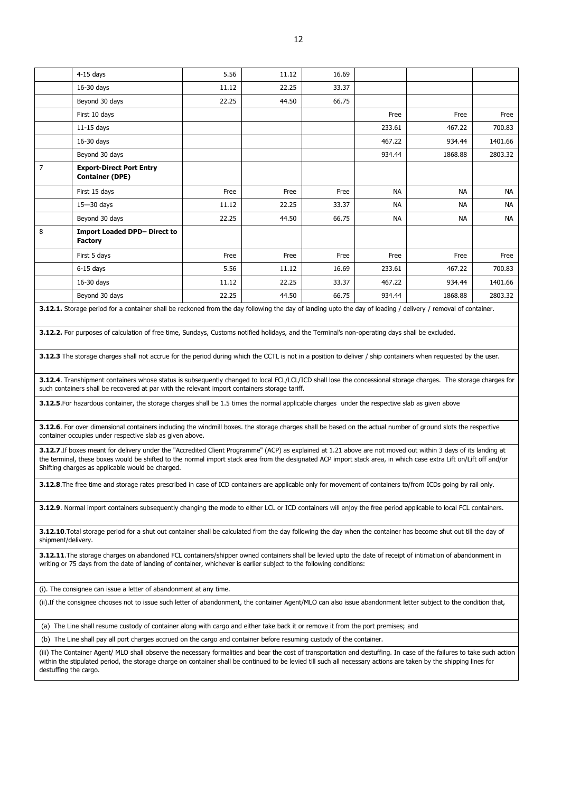|                | $4-15$ days                                               | 5.56  | 11.12 | 16.69 |           |           |           |
|----------------|-----------------------------------------------------------|-------|-------|-------|-----------|-----------|-----------|
|                | 16-30 days                                                | 11.12 | 22.25 | 33.37 |           |           |           |
|                | Beyond 30 days                                            | 22.25 | 44.50 | 66.75 |           |           |           |
|                | First 10 days                                             |       |       |       | Free      | Free      | Free      |
|                | $11-15$ days                                              |       |       |       | 233.61    | 467.22    | 700.83    |
|                | 16-30 days                                                |       |       |       | 467.22    | 934.44    | 1401.66   |
|                | Beyond 30 days                                            |       |       |       | 934.44    | 1868.88   | 2803.32   |
| $\overline{7}$ | <b>Export-Direct Port Entry</b><br><b>Container (DPE)</b> |       |       |       |           |           |           |
|                | First 15 days                                             | Free  | Free  | Free  | <b>NA</b> | <b>NA</b> | <b>NA</b> |
|                | $15 - 30$ days                                            | 11.12 | 22.25 | 33.37 | <b>NA</b> | <b>NA</b> | <b>NA</b> |
|                | Beyond 30 days                                            | 22.25 | 44.50 | 66.75 | <b>NA</b> | <b>NA</b> | <b>NA</b> |
| 8              | <b>Import Loaded DPD- Direct to</b><br><b>Factory</b>     |       |       |       |           |           |           |
|                | First 5 days                                              | Free  | Free  | Free  | Free      | Free      | Free      |
|                | $6-15$ days                                               | 5.56  | 11.12 | 16.69 | 233.61    | 467.22    | 700.83    |
|                | 16-30 days                                                | 11.12 | 22.25 | 33.37 | 467.22    | 934.44    | 1401.66   |
|                | Beyond 30 days                                            | 22.25 | 44.50 | 66.75 | 934.44    | 1868.88   | 2803.32   |

**3.12.1.** Storage period for a container shall be reckoned from the day following the day of landing upto the day of loading / delivery / removal of container.

**3.12.2.** For purposes of calculation of free time, Sundays, Customs notified holidays, and the Terminal's non-operating days shall be excluded.

**3.12.3** The storage charges shall not accrue for the period during which the CCTL is not in a position to deliver / ship containers when requested by the user.

**3.12.4**. Transhipment containers whose status is subsequently changed to local FCL/LCL/ICD shall lose the concessional storage charges. The storage charges for such containers shall be recovered at par with the relevant import containers storage tariff.

**3.12.5**.For hazardous container, the storage charges shall be 1.5 times the normal applicable charges under the respective slab as given above

**3.12.6**. For over dimensional containers including the windmill boxes. the storage charges shall be based on the actual number of ground slots the respective container occupies under respective slab as given above.

**3.12.7**.If boxes meant for delivery under the "Accredited Client Programme" (ACP) as explained at 1.21 above are not moved out within 3 days of its landing at the terminal, these boxes would be shifted to the normal import stack area from the designated ACP import stack area, in which case extra Lift on/Lift off and/or Shifting charges as applicable would be charged.

**3.12.8**.The free time and storage rates prescribed in case of ICD containers are applicable only for movement of containers to/from ICDs going by rail only.

**3.12.9**. Normal import containers subsequently changing the mode to either LCL or ICD containers will enjoy the free period applicable to local FCL containers.

**3.12.10**.Total storage period for a shut out container shall be calculated from the day following the day when the container has become shut out till the day of shipment/delivery.

**3.12.11**.The storage charges on abandoned FCL containers/shipper owned containers shall be levied upto the date of receipt of intimation of abandonment in writing or 75 days from the date of landing of container, whichever is earlier subject to the following conditions:

(i). The consignee can issue a letter of abandonment at any time.

(ii).If the consignee chooses not to issue such letter of abandonment, the container Agent/MLO can also issue abandonment letter subject to the condition that,

(a) The Line shall resume custody of container along with cargo and either take back it or remove it from the port premises; and

(b) The Line shall pay all port charges accrued on the cargo and container before resuming custody of the container.

(iii) The Container Agent/ MLO shall observe the necessary formalities and bear the cost of transportation and destuffing. In case of the failures to take such action within the stipulated period, the storage charge on container shall be continued to be levied till such all necessary actions are taken by the shipping lines for destuffing the cargo.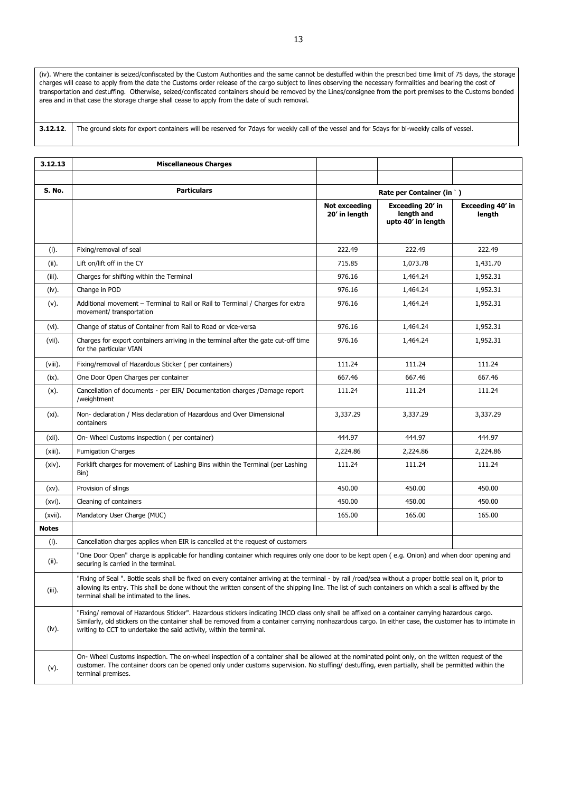(iv). Where the container is seized/confiscated by the Custom Authorities and the same cannot be destuffed within the prescribed time limit of 75 days, the storage charges will cease to apply from the date the Customs order release of the cargo subject to lines observing the necessary formalities and bearing the cost of transportation and destuffing. Otherwise, seized/confiscated containers should be removed by the Lines/consignee from the port premises to the Customs bonded area and in that case the storage charge shall cease to apply from the date of such removal.

**3.12.12**. The ground slots for export containers will be reserved for 7days for weekly call of the vessel and for 5days for bi-weekly calls of vessel.

| 3.12.13      | <b>Miscellaneous Charges</b>                                                                                                                                                                                                                                                                                                                                                      |                                       |                                                      |                            |
|--------------|-----------------------------------------------------------------------------------------------------------------------------------------------------------------------------------------------------------------------------------------------------------------------------------------------------------------------------------------------------------------------------------|---------------------------------------|------------------------------------------------------|----------------------------|
|              |                                                                                                                                                                                                                                                                                                                                                                                   |                                       |                                                      |                            |
| S. No.       | <b>Particulars</b>                                                                                                                                                                                                                                                                                                                                                                | Rate per Container (in `)             |                                                      |                            |
|              |                                                                                                                                                                                                                                                                                                                                                                                   | <b>Not exceeding</b><br>20' in length | Exceeding 20' in<br>length and<br>upto 40' in length | Exceeding 40' in<br>length |
| (i).         | Fixing/removal of seal                                                                                                                                                                                                                                                                                                                                                            | 222.49                                | 222.49                                               | 222.49                     |
| (ii).        | Lift on/lift off in the CY                                                                                                                                                                                                                                                                                                                                                        | 715.85                                | 1,073.78                                             | 1,431.70                   |
| $(iii)$ .    | Charges for shifting within the Terminal                                                                                                                                                                                                                                                                                                                                          | 976.16                                | 1,464.24                                             | 1,952.31                   |
| (iv).        | Change in POD                                                                                                                                                                                                                                                                                                                                                                     | 976.16                                | 1,464.24                                             | 1,952.31                   |
| $(v)$ .      | Additional movement – Terminal to Rail or Rail to Terminal / Charges for extra<br>movement/ transportation                                                                                                                                                                                                                                                                        | 976.16                                | 1,464.24                                             | 1,952.31                   |
| (vi).        | Change of status of Container from Rail to Road or vice-versa                                                                                                                                                                                                                                                                                                                     | 976.16                                | 1,464.24                                             | 1,952.31                   |
| $(vii)$ .    | Charges for export containers arriving in the terminal after the gate cut-off time<br>for the particular VIAN                                                                                                                                                                                                                                                                     | 976.16                                | 1,464.24                                             | 1,952.31                   |
| (viii).      | Fixing/removal of Hazardous Sticker (per containers)                                                                                                                                                                                                                                                                                                                              | 111.24                                | 111.24                                               | 111.24                     |
| (ix).        | One Door Open Charges per container                                                                                                                                                                                                                                                                                                                                               | 667.46                                | 667.46                                               | 667.46                     |
| $(x)$ .      | Cancellation of documents - per EIR/ Documentation charges /Damage report<br>/weightment                                                                                                                                                                                                                                                                                          | 111.24                                | 111.24                                               | 111.24                     |
| (xi).        | Non- declaration / Miss declaration of Hazardous and Over Dimensional<br>containers                                                                                                                                                                                                                                                                                               | 3,337.29                              | 3,337.29                                             | 3,337.29                   |
| (xii).       | On- Wheel Customs inspection (per container)                                                                                                                                                                                                                                                                                                                                      | 444.97                                | 444.97                                               | 444.97                     |
| $(xiii)$ .   | <b>Fumigation Charges</b>                                                                                                                                                                                                                                                                                                                                                         | 2,224.86                              | 2,224.86                                             | 2,224.86                   |
| $(xiv)$ .    | Forklift charges for movement of Lashing Bins within the Terminal (per Lashing<br>Bin)                                                                                                                                                                                                                                                                                            | 111.24                                | 111.24                                               | 111.24                     |
| $(xv)$ .     | Provision of slings                                                                                                                                                                                                                                                                                                                                                               | 450.00                                | 450.00                                               | 450.00                     |
| $(xvi)$ .    | Cleaning of containers                                                                                                                                                                                                                                                                                                                                                            | 450.00                                | 450.00                                               | 450.00                     |
| (xvii).      | Mandatory User Charge (MUC)                                                                                                                                                                                                                                                                                                                                                       | 165.00                                | 165.00                                               | 165.00                     |
| <b>Notes</b> |                                                                                                                                                                                                                                                                                                                                                                                   |                                       |                                                      |                            |
| (i).         | Cancellation charges applies when EIR is cancelled at the request of customers                                                                                                                                                                                                                                                                                                    |                                       |                                                      |                            |
| (ii).        | "One Door Open" charge is applicable for handling container which requires only one door to be kept open (e.g. Onion) and when door opening and<br>securing is carried in the terminal.                                                                                                                                                                                           |                                       |                                                      |                            |
| $(iii)$ .    | "Fixing of Seal ". Bottle seals shall be fixed on every container arriving at the terminal - by rail /road/sea without a proper bottle seal on it, prior to<br>allowing its entry. This shall be done without the written consent of the shipping line. The list of such containers on which a seal is affixed by the<br>terminal shall be intimated to the lines.                |                                       |                                                      |                            |
| (iv).        | "Fixing/ removal of Hazardous Sticker". Hazardous stickers indicating IMCO class only shall be affixed on a container carrying hazardous cargo.<br>Similarly, old stickers on the container shall be removed from a container carrying nonhazardous cargo. In either case, the customer has to intimate in<br>writing to CCT to undertake the said activity, within the terminal. |                                       |                                                      |                            |
| (v).         | On-Wheel Customs inspection. The on-wheel inspection of a container shall be allowed at the nominated point only, on the written request of the<br>customer. The container doors can be opened only under customs supervision. No stuffing/ destuffing, even partially, shall be permitted within the<br>terminal premises.                                                       |                                       |                                                      |                            |